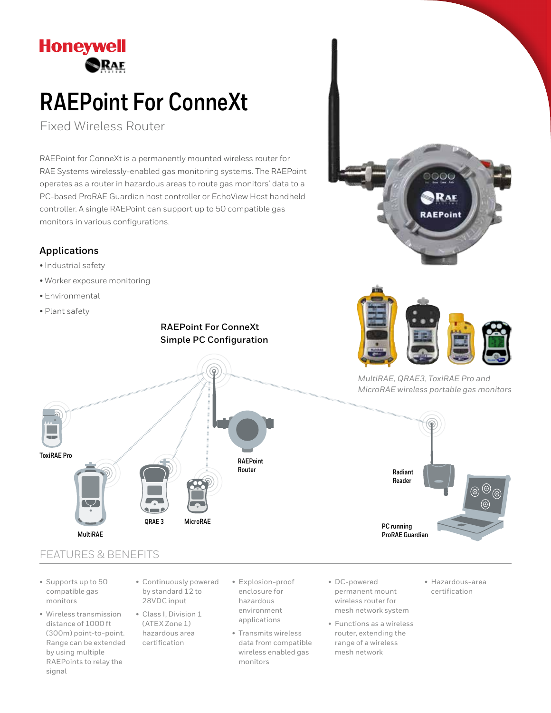

# **RAEPoint For ConneXt**

Fixed Wireless Router

RAEPoint for ConneXt is a permanently mounted wireless router for RAE Systems wirelessly-enabled gas monitoring systems. The RAEPoint operates as a router in hazardous areas to route gas monitors' data to a PC-based ProRAE Guardian host controller or EchoView Host handheld controller. A single RAEPoint can support up to 50 compatible gas monitors in various configurations.

### **Applications**

- Industrial safety
- Worker exposure monitoring
- Environmental
- Plant safety

**ToxiRAE Pro**

### **RAEPoint For ConneXt Simple PC Configuration**





*MultiRAE, QRAE3, ToxiRAE Pro and MicroRAE wireless portable gas monitors*



## FEATURES & BENEFITS

**MultiRAE**

- Supports up to 50 compatible gas monitors
- Wireless transmission distance of 1000 ft (300m) point-to-point. Range can be extended by using multiple RAEPoints to relay the signal
- Continuously powered by standard 12 to 28VDC input

**MicroRAE**

**QRAE 3**

- Class I, Division 1 (ATEX Zone 1) hazardous area certification
- Explosion-proof enclosure for hazardous environment applications

**RAEPoint Router**

- Transmits wireless data from compatible wireless enabled gas monitors
- DC-powered permanent mount wireless router for mesh network system
- Functions as a wireless router, extending the range of a wireless mesh network
- Hazardous-area certification